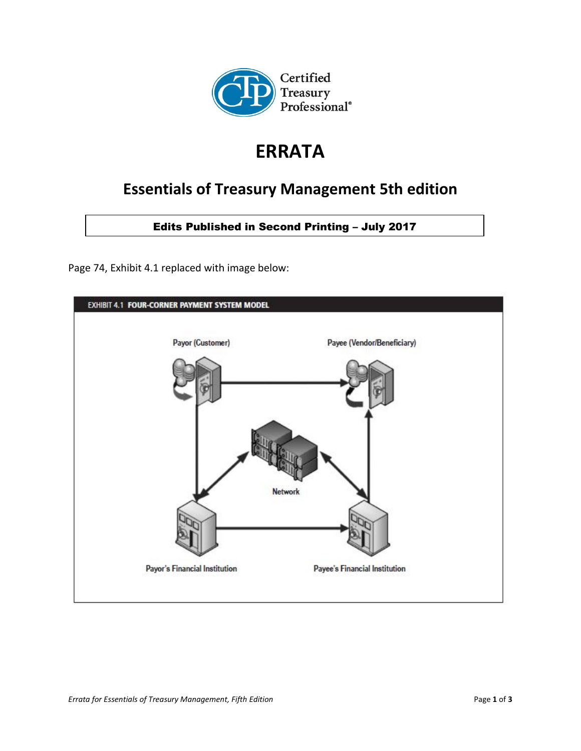

## **ERRATA**

## **Essentials of Treasury Management 5th edition**

Edits Published in Second Printing – July 2017

Page 74, Exhibit 4.1 replaced with image below:

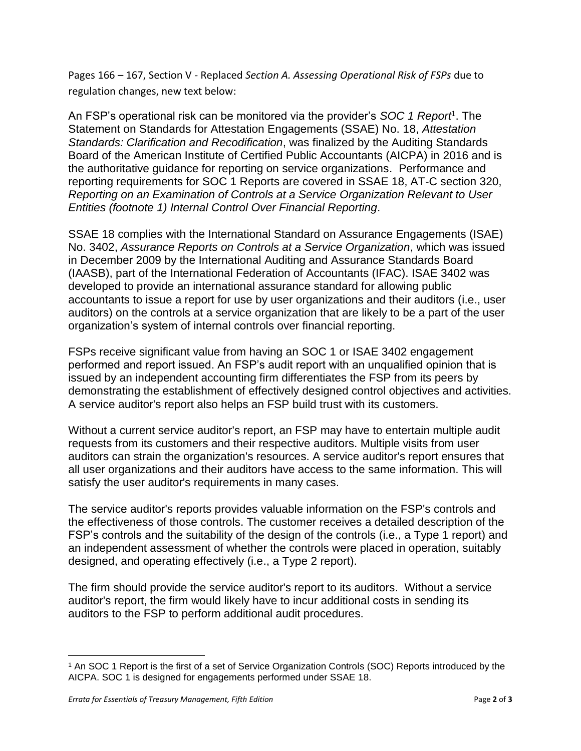Pages 166 – 167, Section V - Replaced *Section A. Assessing Operational Risk of FSPs* due to regulation changes, new text below:

An FSP's operational risk can be monitored via the provider's *SOC 1 Report*<sup>1</sup>. The Statement on Standards for Attestation Engagements (SSAE) No. 18, *Attestation Standards: Clarification and Recodification*, was finalized by the Auditing Standards Board of the American Institute of Certified Public Accountants (AICPA) in 2016 and is the authoritative guidance for reporting on service organizations. Performance and reporting requirements for SOC 1 Reports are covered in SSAE 18, AT-C section 320, *Reporting on an Examination of Controls at a Service Organization Relevant to User Entities (footnote 1) Internal Control Over Financial Reporting*.

SSAE 18 complies with the International Standard on Assurance Engagements (ISAE) No. 3402, *Assurance Reports on Controls at a Service Organization*, which was issued in December 2009 by the International Auditing and Assurance Standards Board (IAASB), part of the International Federation of Accountants (IFAC). ISAE 3402 was developed to provide an international assurance standard for allowing public accountants to issue a report for use by user organizations and their auditors (i.e., user auditors) on the controls at a service organization that are likely to be a part of the user organization's system of internal controls over financial reporting.

FSPs receive significant value from having an SOC 1 or ISAE 3402 engagement performed and report issued. An FSP's audit report with an unqualified opinion that is issued by an independent accounting firm differentiates the FSP from its peers by demonstrating the establishment of effectively designed control objectives and activities. A service auditor's report also helps an FSP build trust with its customers.

Without a current service auditor's report, an FSP may have to entertain multiple audit requests from its customers and their respective auditors. Multiple visits from user auditors can strain the organization's resources. A service auditor's report ensures that all user organizations and their auditors have access to the same information. This will satisfy the user auditor's requirements in many cases.

The service auditor's reports provides valuable information on the FSP's controls and the effectiveness of those controls. The customer receives a detailed description of the FSP's controls and the suitability of the design of the controls (i.e., a Type 1 report) and an independent assessment of whether the controls were placed in operation, suitably designed, and operating effectively (i.e., a Type 2 report).

The firm should provide the service auditor's report to its auditors. Without a service auditor's report, the firm would likely have to incur additional costs in sending its auditors to the FSP to perform additional audit procedures.

 $\overline{\phantom{a}}$ 

<sup>1</sup> An SOC 1 Report is the first of a set of Service Organization Controls (SOC) Reports introduced by the AICPA. SOC 1 is designed for engagements performed under SSAE 18.